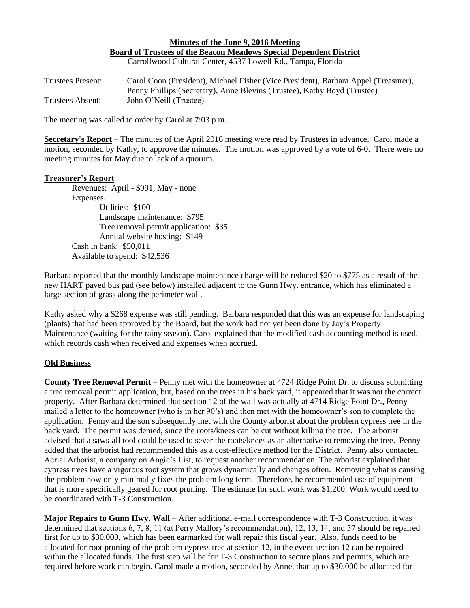# **Minutes of the June 9, 2016 Meeting Board of Trustees of the Beacon Meadows Special Dependent District**

Carrollwood Cultural Center, 4537 Lowell Rd., Tampa, Florida

Trustees Present: Carol Coon (President), Michael Fisher (Vice President), Barbara Appel (Treasurer), Penny Phillips (Secretary), Anne Blevins (Trustee), Kathy Boyd (Trustee) Trustees Absent: John O'Neill (Trustee)

The meeting was called to order by Carol at 7:03 p.m.

**Secretary's Report** – The minutes of the April 2016 meeting were read by Trustees in advance. Carol made a motion, seconded by Kathy, to approve the minutes. The motion was approved by a vote of 6-0. There were no meeting minutes for May due to lack of a quorum.

#### **Treasurer's Report**

Revenues: April - \$991, May - none Expenses: Utilities: \$100 Landscape maintenance: \$795 Tree removal permit application: \$35 Annual website hosting: \$149 Cash in bank: \$50,011 Available to spend: \$42,536

Barbara reported that the monthly landscape maintenance charge will be reduced \$20 to \$775 as a result of the new HART paved bus pad (see below) installed adjacent to the Gunn Hwy. entrance, which has eliminated a large section of grass along the perimeter wall.

Kathy asked why a \$268 expense was still pending. Barbara responded that this was an expense for landscaping (plants) that had been approved by the Board, but the work had not yet been done by Jay's Property Maintenance (waiting for the rainy season). Carol explained that the modified cash accounting method is used, which records cash when received and expenses when accrued.

#### **Old Business**

**County Tree Removal Permit** – Penny met with the homeowner at 4724 Ridge Point Dr. to discuss submitting a tree removal permit application, but, based on the trees in his back yard, it appeared that it was not the correct property. After Barbara determined that section 12 of the wall was actually at 4714 Ridge Point Dr., Penny mailed a letter to the homeowner (who is in her 90's) and then met with the homeowner's son to complete the application. Penny and the son subsequently met with the County arborist about the problem cypress tree in the back yard. The permit was denied, since the roots/knees can be cut without killing the tree. The arborist advised that a saws-all tool could be used to sever the roots/knees as an alternative to removing the tree. Penny added that the arborist had recommended this as a cost-effective method for the District. Penny also contacted Aerial Arborist, a company on Angie's List, to request another recommendation. The arborist explained that cypress trees have a vigorous root system that grows dynamically and changes often. Removing what is causing the problem now only minimally fixes the problem long term. Therefore, he recommended use of equipment that is more specifically geared for root pruning. The estimate for such work was \$1,200. Work would need to be coordinated with T-3 Construction.

**Major Repairs to Gunn Hwy. Wall** – After additional e-mail correspondence with T-3 Construction, it was determined that sections 6, 7, 8, 11 (at Perry Mallory's recommendation), 12, 13, 14, and 57 should be repaired first for up to \$30,000, which has been earmarked for wall repair this fiscal year. Also, funds need to be allocated for root pruning of the problem cypress tree at section 12, in the event section 12 can be repaired within the allocated funds. The first step will be for T-3 Construction to secure plans and permits, which are required before work can begin. Carol made a motion, seconded by Anne, that up to \$30,000 be allocated for